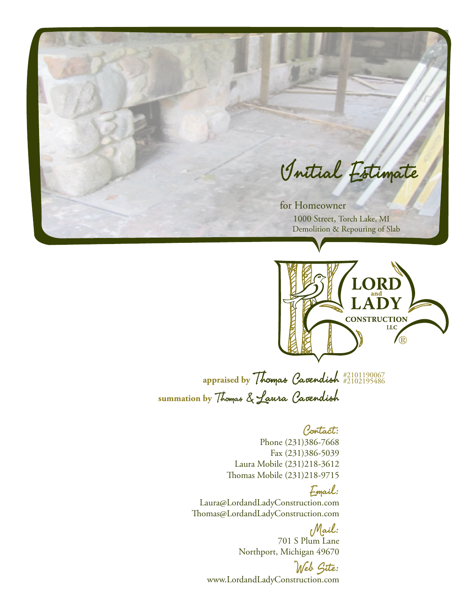



**appraised by** Thomas Cavendish #2101190067 **summation by** Thomas & Laura Cavendish #2102195486

### Contact:

Phone (231)386-7668 Fax (231)386-5039 Laura Mobile (231)218-3612 Thomas Mobile (231)218-9715

## Email:

Laura@LordandLadyConstruction.com Thomas@LordandLadyConstruction.com

> Mail: 701 S Plum Lane Northport, Michigan 49670

Web Site: www.LordandLadyConstruction.com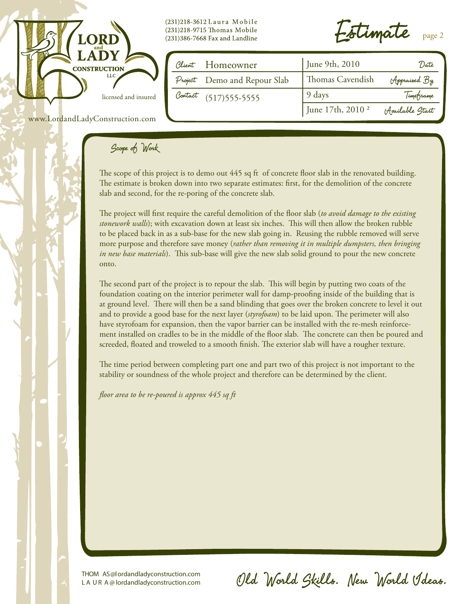

(231)218-3612 Laura Mobile (231)218-9715 Thomas Mobile (231)386-7668 Fax and Landline

 $\cdot$ stimate  $_{\text{page 2}}$ 

| Client Homeowner             | June 9th, 2010               | 'Date           |
|------------------------------|------------------------------|-----------------|
| Project Demo and Repour Slab | Thomas Cavendish             | Appraised By    |
| Contact (517) 555-5555       | 9 days                       | Timeframe       |
|                              | June 17th, 2010 <sup>2</sup> | Available Start |

www.LordandLadyConstruction.com

# Scope of Work

The scope of this project is to demo out 445 sq ft of concrete floor slab in the renovated building. The estimate is broken down into two separate estimates: first, for the demolition of the concrete slab and second, for the re-poring of the concrete slab.

The project will first require the careful demolition of the floor slab (*to avoid damage to the existing stonework walls*); with excavation down at least six inches. This will then allow the broken rubble to be placed back in as a sub-base for the new slab going in. Reusing the rubble removed will serve more purpose and therefore save money (*rather than removing it in multiple dumpsters, then bringing in new base materials*). This sub-base will give the new slab solid ground to pour the new concrete onto.

The second part of the project is to repour the slab. This will begin by putting two coats of the foundation coating on the interior perimeter wall for damp-proofing inside of the building that is at ground level. There will then be a sand blinding that goes over the broken concrete to level it out and to provide a good base for the next layer (*styrofoam*) to be laid upon. The perimeter will also have styrofoam for expansion, then the vapor barrier can be installed with the re-mesh reinforcement installed on cradles to be in the middle of the floor slab. The concrete can then be poured and screeded, floated and troweled to a smooth finish. The exterior slab will have a rougher texture.

The time period between completing part one and part two of this project is not important to the stability or soundness of the whole project and therefore can be determined by the client.

*floor area to be re-poured is approx 445 sq ft*

THOM AS@lordandladyconstruction.com L A U R A @ lordandladyconstruction.com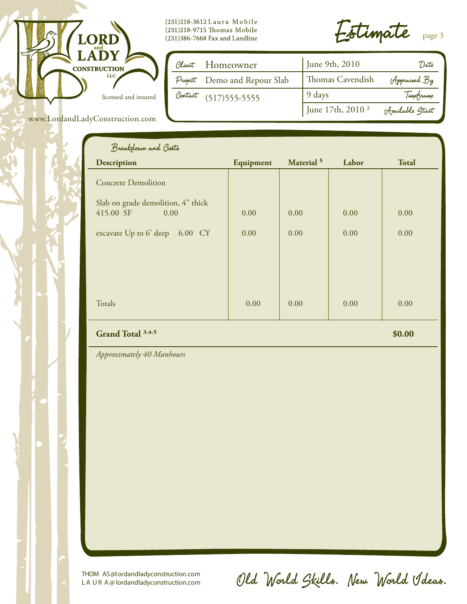

www.LordandLadyConstruction.com

(231)218-3612 Laura Mobile (231)218-9715 Thomas Mobile  $(231)386 - 7668$  Fax and Landline

Estimate page 3

| Client Homeowner             | June 9th, 2010               | Date            |
|------------------------------|------------------------------|-----------------|
| Project Demo and Repour Slab | Thomas Cavendish             | Appraised By    |
| Contact (517) 555-5555       | 9 days                       | Timetrame       |
|                              | June 17th, 2010 <sup>2</sup> | Available Start |

| Equipment | Material <sup>5</sup> | Labor | <b>Total</b> |
|-----------|-----------------------|-------|--------------|
|           |                       |       |              |
| 0.00      | 0.00                  | 0.00  | 0.00         |
| 0.00      | 0.00                  | 0.00  | 0.00         |
|           |                       |       |              |
|           |                       |       |              |
| 0.00      | 0.00                  | 0.00  | 0.00         |
|           |                       |       |              |

#### Grand Total <sup>3,4,</sup>

**5 \$0.00** 

*Approximately 40 Manhours*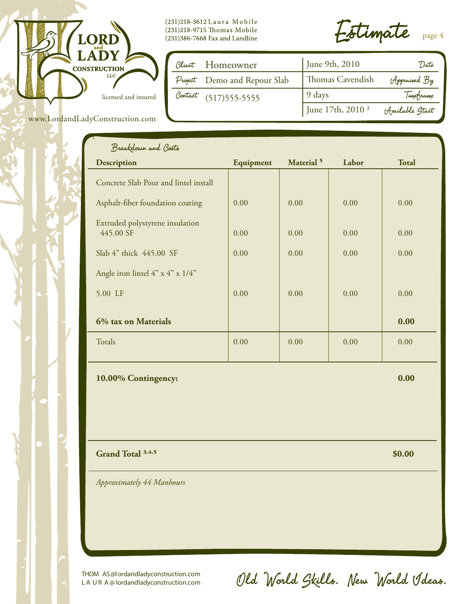

(231)218-3612 Laura Mobile (231)218-9715 Thomas Mobile  $(231)386 - 7668$  Fax and Landline

Estimate page 4

| Client Homeowner             | June 9th, 2010               | "Date            |
|------------------------------|------------------------------|------------------|
| Project Demo and Repour Slab | Thomas Cavendish             | Appraised By     |
| Contact (517) 555-5555       | 9 days                       | Timeframe        |
|                              | June 17th, 2010 <sup>2</sup> | (Available Start |

|  |  | www.LordandLadyConstruction.com |  |
|--|--|---------------------------------|--|
|  |  |                                 |  |

| $\blacktriangleleft$<br>Breakdown and Costs  |           |                       |       |              |
|----------------------------------------------|-----------|-----------------------|-------|--------------|
| <b>Description</b>                           | Equipment | Material <sup>5</sup> | Labor | <b>Total</b> |
| Concrete Slab Pour and lintel install        |           |                       |       |              |
| Asphalt-fiber foundation coating             | 0.00      | 0.00                  | 0.00  | 0.00         |
| Extruded polystyrene insulation<br>445.00 SF | 0.00      | 0.00                  | 0.00  | 0.00         |
| Slab 4" thick 445.00 SF                      | 0.00      | 0.00                  | 0.00  | 0.00         |
| Angle iron lintel $4" \times 4" \times 1/4"$ |           |                       |       |              |
| 5.00 LF                                      | 0.00      | 0.00                  | 0.00  | 0.00         |
| 6% tax on Materials                          |           |                       |       | 0.00         |
| Totals                                       | 0.00      | 0.00                  | 0.00  | 0.00         |

**10.00% Contingency: 0.00**

Grand Total <sup>3,4,</sup>

 $\frac{1}{2}$  **\$0.00 \$0.00** 

*Approximately 44 Manhours*

THOM AS@lordandladyconstruction.com L A U R A @ lordandladyconstruction.com